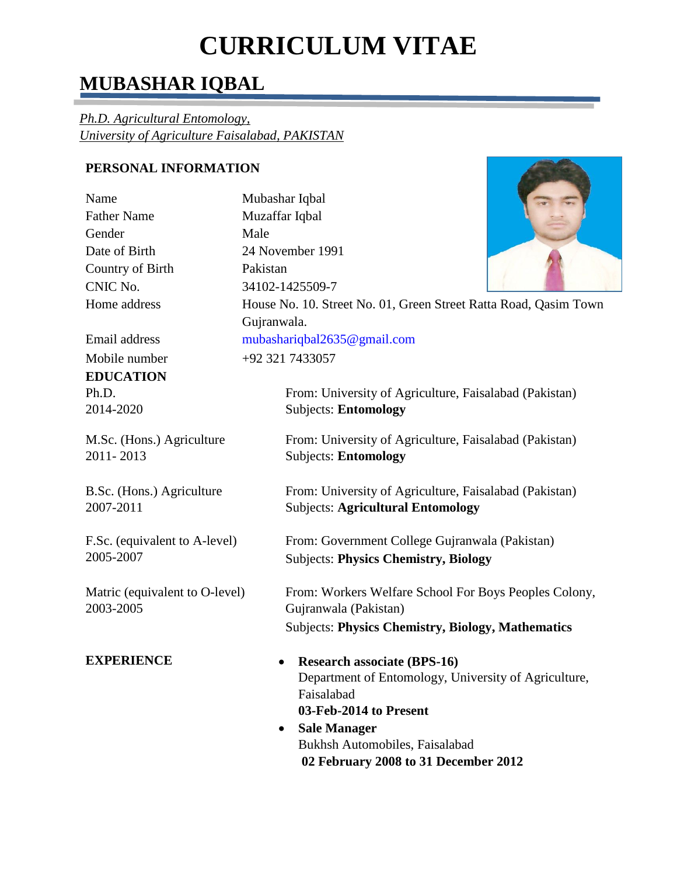# **CURRICULUM VITAE**

## **MUBASHAR IQBAL**

*Ph.D. Agricultural Entomology, University of Agriculture Faisalabad, PAKISTAN* 

### **PERSONAL INFORMATION**

| Name               |
|--------------------|
| <b>Father Name</b> |
| Gender             |
| Date of Birth      |
| Country of Birth   |
| CNIC No.           |
| Home address       |
|                    |

**EDUCATION**  Ph.D. 2014-2020

M.Sc. (Hons.) Agriculture 2011- 2013

B.Sc. (Hons.) Agriculture 2007-2011

F.Sc. (equivalent to A-level) 2005-2007

Matric (equivalent to O-level) 2003-2005

Mubashar Iqbal Muzaffar Iqbal Male 24 November 1991 Pakistan CNIC No. 34102-1425509-7 House No. 10. Street No. 01, Green Street Ratta Road, Qasim Town

Gujranwala. Email address mubashariqbal2635@gmail.com

Mobile number +92 321 7433057

From: University of Agriculture, Faisalabad (Pakistan) Subjects: **Entomology**

From: University of Agriculture, Faisalabad (Pakistan) Subjects: **Entomology**

From: University of Agriculture, Faisalabad (Pakistan) Subjects: **Agricultural Entomology**

From: Government College Gujranwala (Pakistan) Subjects: **Physics Chemistry, Biology**

From: Workers Welfare School For Boys Peoples Colony, Gujranwala (Pakistan) Subjects: **Physics Chemistry, Biology, Mathematics**

- **EXPERIENCE • Research associate** (BPS-16) Department of Entomology, University of Agriculture, Faisalabad **03-Feb-2014 to Present**
	- **Sale Manager** Bukhsh Automobiles, Faisalabad **02 February 2008 to 31 December 2012**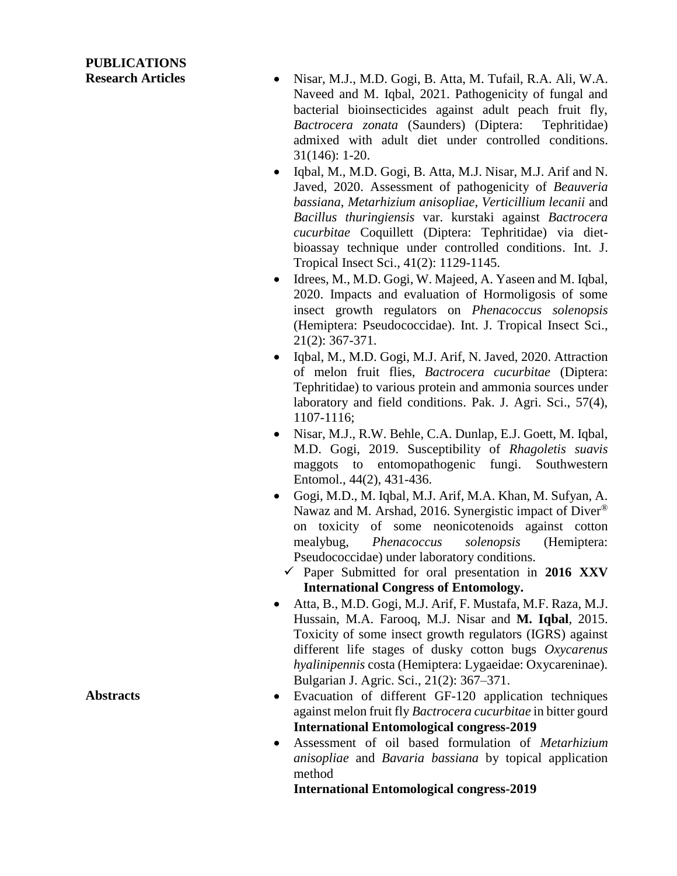## **PUBLICATIONS**

- **Research Articles** . Nisar, M.J., M.D. Gogi, B. Atta, M. Tufail, R.A. Ali, W.A. Naveed and M. Iqbal, 2021. Pathogenicity of fungal and bacterial bioinsecticides against adult peach fruit fly, *Bactrocera zonata* (Saunders) (Diptera: Tephritidae) admixed with adult diet under controlled conditions. 31(146): 1-20.
	- Iqbal, M., M.D. Gogi, B. Atta, M.J. Nisar, M.J. Arif and N. Javed, 2020. Assessment of pathogenicity of *Beauveria bassiana*, *Metarhizium anisopliae*, *Verticillium lecanii* and *Bacillus thuringiensis* var. kurstaki against *Bactrocera cucurbitae* Coquillett (Diptera: Tephritidae) via dietbioassay technique under controlled conditions. Int. J. Tropical Insect Sci., 41(2): 1129-1145.
	- Idrees, M., M.D. Gogi, W. Majeed, A. Yaseen and M. Iqbal, 2020. Impacts and evaluation of Hormoligosis of some insect growth regulators on *Phenacoccus solenopsis* (Hemiptera: Pseudococcidae). Int. J. Tropical Insect Sci., 21(2): 367-371.
	- Iqbal, M., M.D. Gogi, M.J. Arif, N. Javed, 2020. Attraction of melon fruit flies, *Bactrocera cucurbitae* (Diptera: Tephritidae) to various protein and ammonia sources under laboratory and field conditions. Pak. J. Agri. Sci., 57(4), 1107-1116;
	- Nisar, M.J., R.W. Behle, C.A. Dunlap, E.J. Goett, M. Iqbal, M.D. Gogi, 2019. Susceptibility of *Rhagoletis suavis* maggots to entomopathogenic fungi. Southwestern Entomol., 44(2), 431-436.
	- Gogi, M.D., M. Iqbal, M.J. Arif, M.A. Khan, M. Sufyan, A. Nawaz and M. Arshad, 2016. Synergistic impact of Diver® on toxicity of some neonicotenoids against cotton mealybug, *Phenacoccus solenopsis* (Hemiptera: Pseudococcidae) under laboratory conditions.
		- $\checkmark$  Paper Submitted for oral presentation in 2016 XXV **International Congress of Entomology.**
	- Atta, B., M.D. Gogi, M.J. Arif, F. Mustafa, M.F. Raza, M.J. Hussain, M.A. Farooq, M.J. Nisar and **M. Iqbal**, 2015. Toxicity of some insect growth regulators (IGRS) against different life stages of dusky cotton bugs *Oxycarenus hyalinipennis* costa (Hemiptera: Lygaeidae: Oxycareninae). Bulgarian J. Agric. Sci., 21(2): 367–371.
- Abstracts Evacuation of different GF-120 application techniques against melon fruit fly *Bactrocera cucurbitae* in bitter gourd **International Entomological congress-2019** 
	- Assessment of oil based formulation of *Metarhizium anisopliae* and *Bavaria bassiana* by topical application method

**International Entomological congress-2019**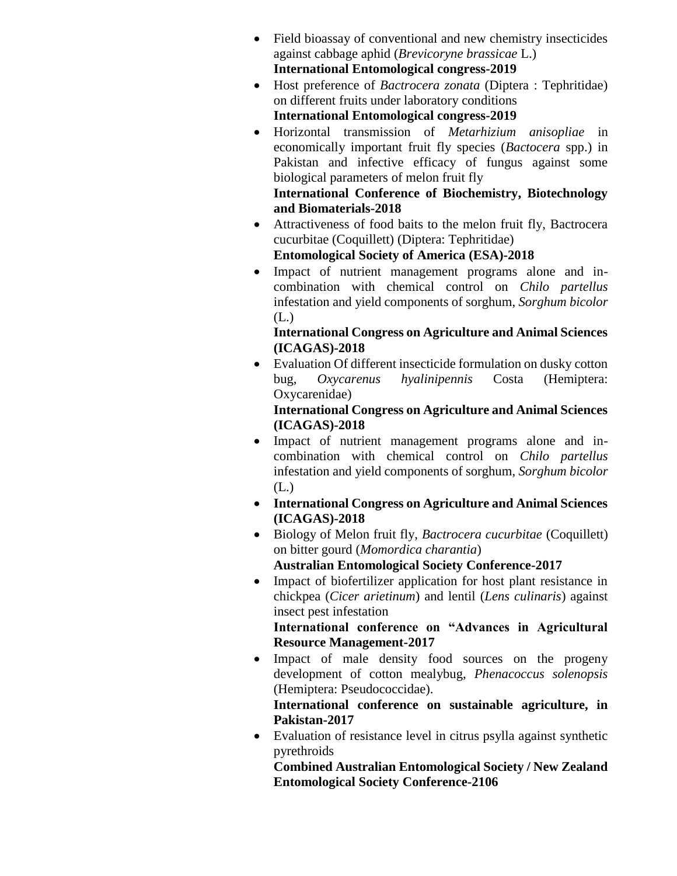- Field bioassay of conventional and new chemistry insecticides against cabbage aphid (*Brevicoryne brassicae* L.) **International Entomological congress-2019**
- Host preference of *Bactrocera zonata* (Diptera : Tephritidae) on different fruits under laboratory conditions
	- **International Entomological congress-2019**
- Horizontal transmission of *Metarhizium anisopliae* in economically important fruit fly species (*Bactocera* spp.) in Pakistan and infective efficacy of fungus against some biological parameters of melon fruit fly

### **International Conference of Biochemistry, Biotechnology and Biomaterials-2018**

 Attractiveness of food baits to the melon fruit fly, Bactrocera cucurbitae (Coquillett) (Diptera: Tephritidae)

**Entomological Society of America (ESA)-2018**

• Impact of nutrient management programs alone and incombination with chemical control on *Chilo partellus*  infestation and yield components of sorghum, *Sorghum bicolor* (L.)

### **International Congress on Agriculture and Animal Sciences (ICAGAS)-2018**

 Evaluation Of different insecticide formulation on dusky cotton bug, *Oxycarenus hyalinipennis* Costa (Hemiptera: Oxycarenidae)

### **International Congress on Agriculture and Animal Sciences (ICAGAS)-2018**

- Impact of nutrient management programs alone and incombination with chemical control on *Chilo partellus* infestation and yield components of sorghum, *Sorghum bicolor* (L.)
- **International Congress on Agriculture and Animal Sciences (ICAGAS)-2018**
- Biology of Melon fruit fly, *Bactrocera cucurbitae* (Coquillett) on bitter gourd (*Momordica charantia*) **Australian Entomological Society Conference-2017**
- Impact of biofertilizer application for host plant resistance in chickpea (*Cicer arietinum*) and lentil (*Lens culinaris*) against insect pest infestation

**International conference on "Advances in Agricultural Resource Management-2017**

• Impact of male density food sources on the progeny development of cotton mealybug, *Phenacoccus solenopsis* (Hemiptera: Pseudococcidae).

**International conference on sustainable agriculture, in Pakistan-2017**

 Evaluation of resistance level in citrus psylla against synthetic pyrethroids

**Combined Australian Entomological Society / New Zealand Entomological Society Conference-2106**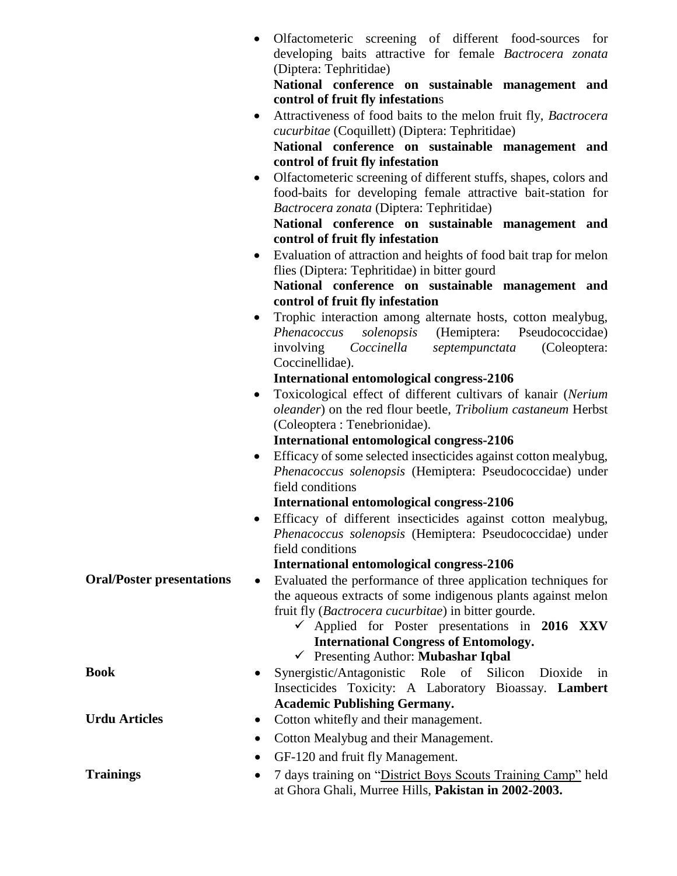| National conference on sustainable management and<br>Attractiveness of food baits to the melon fruit fly, Bactrocera<br>National conference on sustainable management and<br>Olfactometeric screening of different stuffs, shapes, colors and<br>food-baits for developing female attractive bait-station for<br>National conference on sustainable management and<br>Evaluation of attraction and heights of food bait trap for melon<br>National conference on sustainable management and<br>Trophic interaction among alternate hosts, cotton mealybug,<br>solenopsis (Hemiptera: Pseudococcidae)<br>(Coleoptera:<br>Toxicological effect of different cultivars of kanair (Nerium<br>oleander) on the red flour beetle, Tribolium castaneum Herbst |
|--------------------------------------------------------------------------------------------------------------------------------------------------------------------------------------------------------------------------------------------------------------------------------------------------------------------------------------------------------------------------------------------------------------------------------------------------------------------------------------------------------------------------------------------------------------------------------------------------------------------------------------------------------------------------------------------------------------------------------------------------------|
|                                                                                                                                                                                                                                                                                                                                                                                                                                                                                                                                                                                                                                                                                                                                                        |
|                                                                                                                                                                                                                                                                                                                                                                                                                                                                                                                                                                                                                                                                                                                                                        |
|                                                                                                                                                                                                                                                                                                                                                                                                                                                                                                                                                                                                                                                                                                                                                        |
|                                                                                                                                                                                                                                                                                                                                                                                                                                                                                                                                                                                                                                                                                                                                                        |
|                                                                                                                                                                                                                                                                                                                                                                                                                                                                                                                                                                                                                                                                                                                                                        |
|                                                                                                                                                                                                                                                                                                                                                                                                                                                                                                                                                                                                                                                                                                                                                        |
|                                                                                                                                                                                                                                                                                                                                                                                                                                                                                                                                                                                                                                                                                                                                                        |
|                                                                                                                                                                                                                                                                                                                                                                                                                                                                                                                                                                                                                                                                                                                                                        |
|                                                                                                                                                                                                                                                                                                                                                                                                                                                                                                                                                                                                                                                                                                                                                        |
|                                                                                                                                                                                                                                                                                                                                                                                                                                                                                                                                                                                                                                                                                                                                                        |
|                                                                                                                                                                                                                                                                                                                                                                                                                                                                                                                                                                                                                                                                                                                                                        |
|                                                                                                                                                                                                                                                                                                                                                                                                                                                                                                                                                                                                                                                                                                                                                        |
|                                                                                                                                                                                                                                                                                                                                                                                                                                                                                                                                                                                                                                                                                                                                                        |
|                                                                                                                                                                                                                                                                                                                                                                                                                                                                                                                                                                                                                                                                                                                                                        |
|                                                                                                                                                                                                                                                                                                                                                                                                                                                                                                                                                                                                                                                                                                                                                        |
|                                                                                                                                                                                                                                                                                                                                                                                                                                                                                                                                                                                                                                                                                                                                                        |
|                                                                                                                                                                                                                                                                                                                                                                                                                                                                                                                                                                                                                                                                                                                                                        |
|                                                                                                                                                                                                                                                                                                                                                                                                                                                                                                                                                                                                                                                                                                                                                        |
|                                                                                                                                                                                                                                                                                                                                                                                                                                                                                                                                                                                                                                                                                                                                                        |
|                                                                                                                                                                                                                                                                                                                                                                                                                                                                                                                                                                                                                                                                                                                                                        |
|                                                                                                                                                                                                                                                                                                                                                                                                                                                                                                                                                                                                                                                                                                                                                        |
|                                                                                                                                                                                                                                                                                                                                                                                                                                                                                                                                                                                                                                                                                                                                                        |
|                                                                                                                                                                                                                                                                                                                                                                                                                                                                                                                                                                                                                                                                                                                                                        |
|                                                                                                                                                                                                                                                                                                                                                                                                                                                                                                                                                                                                                                                                                                                                                        |
|                                                                                                                                                                                                                                                                                                                                                                                                                                                                                                                                                                                                                                                                                                                                                        |
|                                                                                                                                                                                                                                                                                                                                                                                                                                                                                                                                                                                                                                                                                                                                                        |
| Efficacy of some selected insecticides against cotton mealybug,                                                                                                                                                                                                                                                                                                                                                                                                                                                                                                                                                                                                                                                                                        |
| Phenacoccus solenopsis (Hemiptera: Pseudococcidae) under                                                                                                                                                                                                                                                                                                                                                                                                                                                                                                                                                                                                                                                                                               |
|                                                                                                                                                                                                                                                                                                                                                                                                                                                                                                                                                                                                                                                                                                                                                        |
|                                                                                                                                                                                                                                                                                                                                                                                                                                                                                                                                                                                                                                                                                                                                                        |
| Efficacy of different insecticides against cotton mealybug,                                                                                                                                                                                                                                                                                                                                                                                                                                                                                                                                                                                                                                                                                            |
| Phenacoccus solenopsis (Hemiptera: Pseudococcidae) under                                                                                                                                                                                                                                                                                                                                                                                                                                                                                                                                                                                                                                                                                               |
|                                                                                                                                                                                                                                                                                                                                                                                                                                                                                                                                                                                                                                                                                                                                                        |
|                                                                                                                                                                                                                                                                                                                                                                                                                                                                                                                                                                                                                                                                                                                                                        |
| Evaluated the performance of three application techniques for                                                                                                                                                                                                                                                                                                                                                                                                                                                                                                                                                                                                                                                                                          |
| the aqueous extracts of some indigenous plants against melon                                                                                                                                                                                                                                                                                                                                                                                                                                                                                                                                                                                                                                                                                           |
|                                                                                                                                                                                                                                                                                                                                                                                                                                                                                                                                                                                                                                                                                                                                                        |
| $\checkmark$ Applied for Poster presentations in 2016 XXV                                                                                                                                                                                                                                                                                                                                                                                                                                                                                                                                                                                                                                                                                              |
|                                                                                                                                                                                                                                                                                                                                                                                                                                                                                                                                                                                                                                                                                                                                                        |
|                                                                                                                                                                                                                                                                                                                                                                                                                                                                                                                                                                                                                                                                                                                                                        |
| Dioxide<br>1n                                                                                                                                                                                                                                                                                                                                                                                                                                                                                                                                                                                                                                                                                                                                          |
| Insecticides Toxicity: A Laboratory Bioassay. Lambert                                                                                                                                                                                                                                                                                                                                                                                                                                                                                                                                                                                                                                                                                                  |
|                                                                                                                                                                                                                                                                                                                                                                                                                                                                                                                                                                                                                                                                                                                                                        |
|                                                                                                                                                                                                                                                                                                                                                                                                                                                                                                                                                                                                                                                                                                                                                        |
|                                                                                                                                                                                                                                                                                                                                                                                                                                                                                                                                                                                                                                                                                                                                                        |
|                                                                                                                                                                                                                                                                                                                                                                                                                                                                                                                                                                                                                                                                                                                                                        |
|                                                                                                                                                                                                                                                                                                                                                                                                                                                                                                                                                                                                                                                                                                                                                        |
| 7 days training on "District Boys Scouts Training Camp" held                                                                                                                                                                                                                                                                                                                                                                                                                                                                                                                                                                                                                                                                                           |
|                                                                                                                                                                                                                                                                                                                                                                                                                                                                                                                                                                                                                                                                                                                                                        |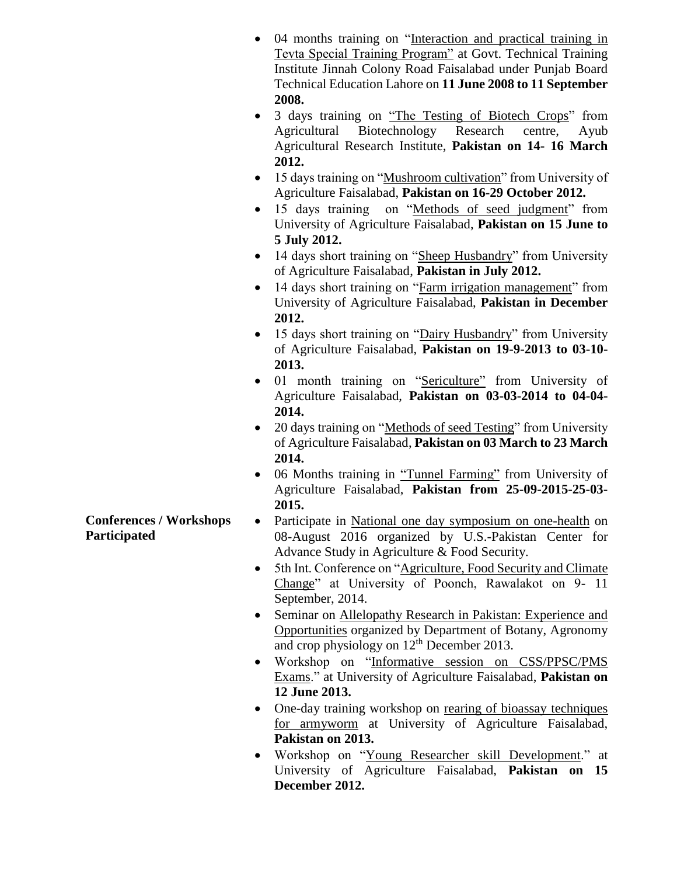- 04 months training on "Interaction and practical training in Tevta Special Training Program" at Govt. Technical Training Institute Jinnah Colony Road Faisalabad under Punjab Board Technical Education Lahore on **11 June 2008 to 11 September 2008.**
- 3 days training on "The Testing of Biotech Crops" from Agricultural Biotechnology Research centre, Ayub Agricultural Research Institute, **Pakistan on 14- 16 March 2012.**
- 15 days training on "Mushroom cultivation" from University of Agriculture Faisalabad, **Pakistan on 16-29 October 2012.**
- 15 days training on "Methods of seed judgment" from University of Agriculture Faisalabad, **Pakistan on 15 June to 5 July 2012.**
- 14 days short training on "Sheep Husbandry" from University of Agriculture Faisalabad, **Pakistan in July 2012.**
- 14 days short training on "Farm irrigation management" from University of Agriculture Faisalabad, **Pakistan in December 2012.**
- 15 days short training on "Dairy Husbandry" from University of Agriculture Faisalabad, **Pakistan on 19-9-2013 to 03-10- 2013.**
- 01 month training on "Sericulture" from University of Agriculture Faisalabad, **Pakistan on 03-03-2014 to 04-04- 2014.**
- 20 days training on "Methods of seed Testing" from University of Agriculture Faisalabad, **Pakistan on 03 March to 23 March 2014.**
- 06 Months training in "Tunnel Farming" from University of Agriculture Faisalabad, **Pakistan from 25-09-2015-25-03- 2015.**
- Participate in National one day symposium on one-health on 08-August 2016 organized by U.S.-Pakistan Center for Advance Study in Agriculture & Food Security.
- 5th Int. Conference on "Agriculture, Food Security and Climate Change" at University of Poonch, Rawalakot on 9- 11 September, 2014.
- Seminar on Allelopathy Research in Pakistan: Experience and Opportunities organized by Department of Botany, Agronomy and crop physiology on 12<sup>th</sup> December 2013.
- Workshop on "Informative session on CSS/PPSC/PMS Exams." at University of Agriculture Faisalabad, **Pakistan on 12 June 2013.**
- One-day training workshop on rearing of bioassay techniques for armyworm at University of Agriculture Faisalabad, **Pakistan on 2013.**
- Workshop on "Young Researcher skill Development." at University of Agriculture Faisalabad, **Pakistan on 15 December 2012.**

**Conferences / Workshops Participated**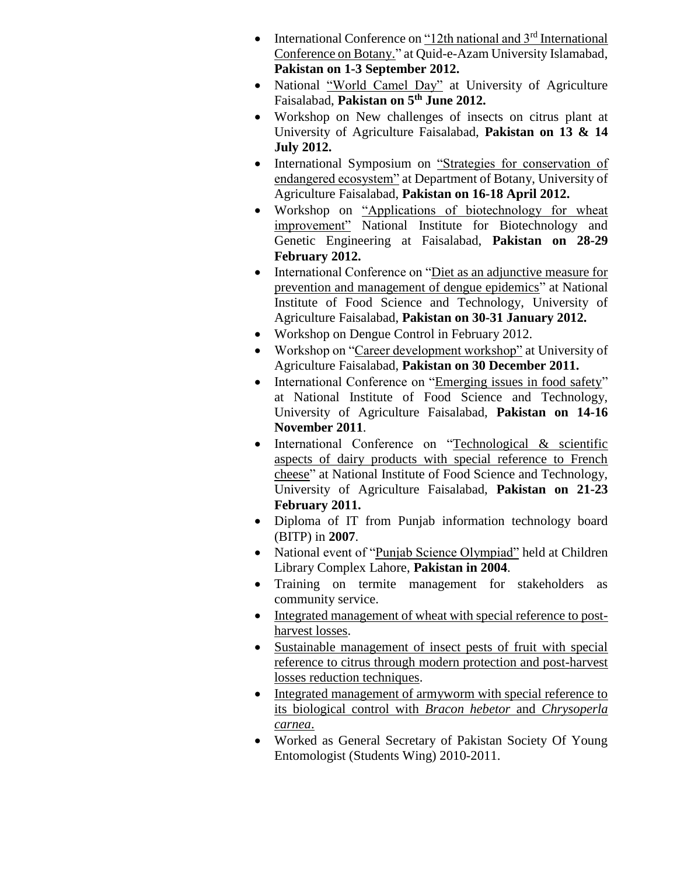- International Conference on "12th national and  $3<sup>rd</sup>$  International Conference on Botany." at Quid-e-Azam University Islamabad, **Pakistan on 1-3 September 2012.**
- National "World Camel Day" at University of Agriculture Faisalabad, **Pakistan on 5th June 2012.**
- Workshop on New challenges of insects on citrus plant at University of Agriculture Faisalabad, **Pakistan on 13 & 14 July 2012.**
- International Symposium on "Strategies for conservation of endangered ecosystem" at Department of Botany, University of Agriculture Faisalabad, **Pakistan on 16-18 April 2012.**
- Workshop on "Applications of biotechnology for wheat improvement" [National Institute for Biotechnology and](http://www.google.com.pk/url?sa=t&rct=j&q=nibge&source=web&cd=1&ved=0CC8QFjAA&url=%2Furl%3Fsa%3Dt%26rct%3Dj%26q%3Dnibge%26source%3Dweb%26cd%3D1%26ved%3D0CC8QFjAA%26url%3Dhttp%253A%252F%252Fwww.nibge.org%252F%26ei%3D9phsT82pFaLS0QWorb3rBg%26usg%3DAFQjCNGDrgol4e325O7dv8S2MdhRtkldbQ&ei=9phsT82pFaLS0QWorb3rBg&usg=AFQjCNGDrgol4e325O7dv8S2MdhRtkldbQ&cad=rja)  [Genetic Engineering](http://www.google.com.pk/url?sa=t&rct=j&q=nibge&source=web&cd=1&ved=0CC8QFjAA&url=%2Furl%3Fsa%3Dt%26rct%3Dj%26q%3Dnibge%26source%3Dweb%26cd%3D1%26ved%3D0CC8QFjAA%26url%3Dhttp%253A%252F%252Fwww.nibge.org%252F%26ei%3D9phsT82pFaLS0QWorb3rBg%26usg%3DAFQjCNGDrgol4e325O7dv8S2MdhRtkldbQ&ei=9phsT82pFaLS0QWorb3rBg&usg=AFQjCNGDrgol4e325O7dv8S2MdhRtkldbQ&cad=rja) at Faisalabad, **Pakistan on 28-29 February 2012.**
- International Conference on "Diet as an adjunctive measure for prevention and management of dengue epidemics" at National Institute of Food Science and Technology, University of Agriculture Faisalabad, **Pakistan on 30-31 January 2012.**
- Workshop on Dengue Control in February 2012.
- Workshop on "Career development workshop" at University of Agriculture Faisalabad, **Pakistan on 30 December 2011.**
- International Conference on "Emerging issues in food safety" at National Institute of Food Science and Technology, University of Agriculture Faisalabad, **Pakistan on 14-16 November 2011**.
- International Conference on "Technological & scientific aspects of dairy products with special reference to French cheese" at National Institute of Food Science and Technology, University of Agriculture Faisalabad, **Pakistan on 21-23 February 2011.**
- Diploma of IT from Punjab information technology board (BITP) in **2007**.
- National event of "Punjab Science Olympiad" held at Children Library Complex Lahore, **Pakistan in 2004**.
- Training on termite management for stakeholders as community service.
- Integrated management of wheat with special reference to postharvest losses.
- Sustainable management of insect pests of fruit with special reference to citrus through modern protection and post-harvest losses reduction techniques.
- Integrated management of armyworm with special reference to its biological control with *Bracon hebetor* and *Chrysoperla carnea*.
- Worked as General Secretary of Pakistan Society Of Young Entomologist (Students Wing) 2010-2011.